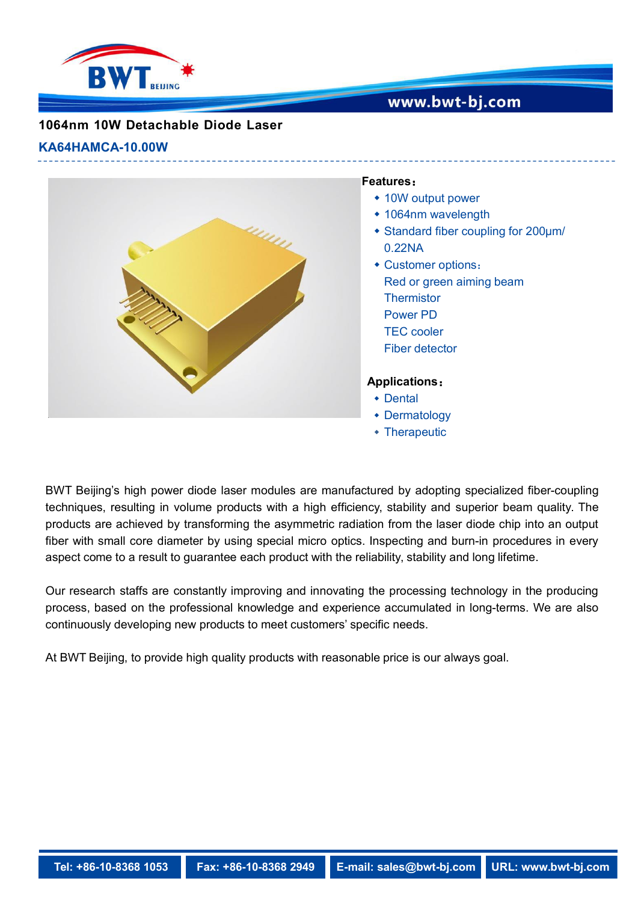

## www.bwt-bj.com

## **1064nm 10W Detachable Diode Laser**

#### **KA64HAMCA-10.00W**



#### **Features**:

- 10W output power
- 1064nm wavelength
- Standard fiber coupling for 200μm/ 0.22NA
- Customer options: Red or green aiming beam **Thermistor** Power PD TEC cooler Fiber detector

### **Applications**:

- Dental
- Dermatology
- Therapeutic

BWT Beijing's high power diode laser modules are manufactured by adopting specialized fiber-coupling techniques, resulting in volume products with a high efficiency, stability and superior beam quality. The products are achieved by transforming the asymmetric radiation from the laser diode chip into an output fiber with small core diameter by using special micro optics. Inspecting and burn-in procedures in every aspect come to a result to guarantee each product with the reliability, stability and long lifetime.

Our research staffs are constantly improving and innovating the processing technology in the producing process, based on the professional knowledge and experience accumulated in long-terms. We are also continuously developing new products to meet customers' specific needs.

At BWT Beijing, to provide high quality products with reasonable price is our always goal.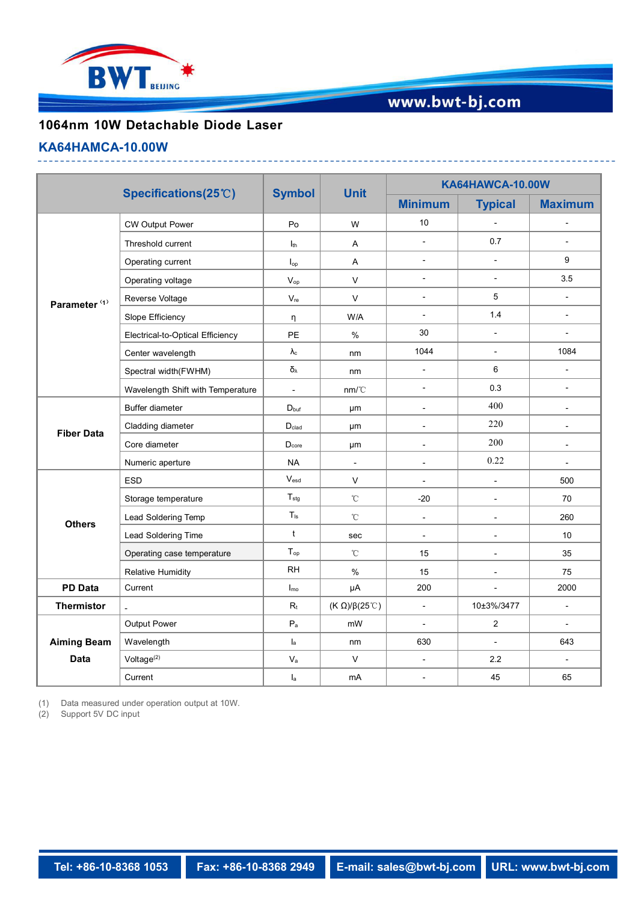

# www.bwt-bj.com

## **1064nm 10W Detachable Diode Laser**

#### **KA64HAMCA-10.00W**

|                                   | Specifications(25°C)              | <b>Symbol</b>              | <b>Unit</b>                   | KA64HAWCA-10.00W         |                          |                           |
|-----------------------------------|-----------------------------------|----------------------------|-------------------------------|--------------------------|--------------------------|---------------------------|
|                                   |                                   |                            |                               | <b>Minimum</b>           | <b>Typical</b>           | <b>Maximum</b>            |
| Parameter <sup>(1)</sup>          | <b>CW Output Power</b>            | Po                         | W                             | 10                       | $\overline{\phantom{a}}$ | $\overline{\phantom{a}}$  |
|                                   | Threshold current                 | $I_{th}$                   | A                             | $\blacksquare$           | 0.7                      | $\overline{a}$            |
|                                   | Operating current                 | $I_{op}$                   | A                             | $\overline{\phantom{a}}$ | $\mathbb{L}$             | 9                         |
|                                   | Operating voltage                 | $V_{op}$                   | $\vee$                        | $\blacksquare$           | $\blacksquare$           | 3.5                       |
|                                   | Reverse Voltage                   | $\mathsf{V}_{\mathsf{re}}$ | $\mathsf{V}$                  | $\blacksquare$           | $5\phantom{.0}$          | $\mathbb{L}^{\mathbb{N}}$ |
|                                   | Slope Efficiency                  | η                          | W/A                           | $\overline{\phantom{a}}$ | 1.4                      | $\blacksquare$            |
|                                   | Electrical-to-Optical Efficiency  | PE                         | $\%$                          | 30                       | $\overline{\phantom{a}}$ | $\overline{a}$            |
|                                   | Center wavelength                 | $\lambda_{\rm c}$          | nm                            | 1044                     | $\overline{\phantom{a}}$ | 1084                      |
|                                   | Spectral width(FWHM)              | $\delta_{\lambda}$         | nm                            | $\blacksquare$           | 6                        | $\blacksquare$            |
|                                   | Wavelength Shift with Temperature | $\blacksquare$             | nm/C                          | $\blacksquare$           | 0.3                      | $\overline{\phantom{a}}$  |
| <b>Fiber Data</b>                 | Buffer diameter                   | $D_{\text{buf}}$           | μm                            | $\blacksquare$           | 400                      | $\blacksquare$            |
|                                   | Cladding diameter                 | $\mathsf{D}_{\text{clad}}$ | μm                            | $\overline{\phantom{a}}$ | 220                      | $\blacksquare$            |
|                                   | Core diameter                     | D <sub>core</sub>          | μm                            | $\sim$                   | 200                      | $\blacksquare$            |
|                                   | Numeric aperture                  | <b>NA</b>                  | $\sim$                        | $\blacksquare$           | 0.22                     | $\mathbb{L}^2$            |
| <b>Others</b>                     | <b>ESD</b>                        | $V_{\sf esd}$              | $\vee$                        | $\blacksquare$           | $\overline{\phantom{a}}$ | 500                       |
|                                   | Storage temperature               | $T_{\text{stg}}$           | $^\circ\!{\rm C}$             | $-20$                    | $\overline{\phantom{a}}$ | 70                        |
|                                   | Lead Soldering Temp               | $T_{\rm ls}$               | $^\circ\!{\rm C}$             | $\overline{\phantom{a}}$ | $\overline{\phantom{a}}$ | 260                       |
|                                   | Lead Soldering Time               | $\mathsf{t}$               | sec                           | $\blacksquare$           | $\overline{\phantom{a}}$ | 10                        |
|                                   | Operating case temperature        | $T_{op}$                   | $^\circ\!{\rm C}$             | 15                       | $\blacksquare$           | 35                        |
|                                   | <b>Relative Humidity</b>          | $\mathsf{RH}$              | $\%$                          | 15                       | $\overline{\phantom{a}}$ | 75                        |
| <b>PD Data</b>                    | Current                           | $I_{\text{mo}}$            | μA                            | 200                      | $\blacksquare$           | 2000                      |
| Thermistor                        |                                   | $\mathsf{R}_{\mathsf{t}}$  | (K $\Omega$ )/ $\beta$ (25°C) | $\overline{\phantom{a}}$ | 10±3%/3477               | $\blacksquare$            |
| <b>Aiming Beam</b><br><b>Data</b> | Output Power                      | $\mathsf{P}_{\mathsf{a}}$  | mW                            | $\overline{\phantom{a}}$ | $\overline{2}$           | $\blacksquare$            |
|                                   | Wavelength                        | $\mathsf{I}_{\mathsf{a}}$  | nm                            | 630                      | $\overline{\phantom{a}}$ | 643                       |
|                                   | Voltage <sup>(2)</sup>            | $\mathsf{V}_{\mathsf{a}}$  | $\mathsf{V}$                  | $\blacksquare$           | 2.2                      | $\overline{\phantom{a}}$  |
|                                   | Current                           | $I_a$                      | mA                            | $\blacksquare$           | 45                       | 65                        |

(1) Data measured under operation output at 10W.

(2) Support 5V DC input